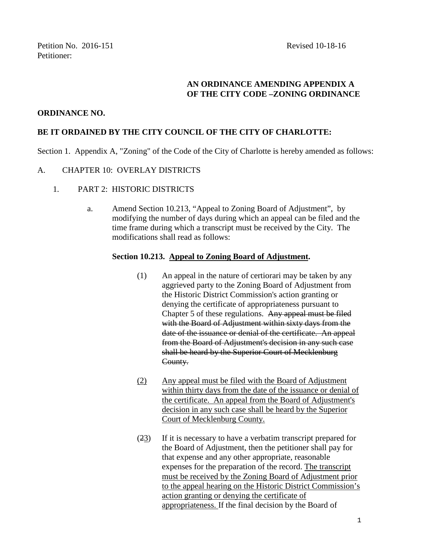# **AN ORDINANCE AMENDING APPENDIX A OF THE CITY CODE –ZONING ORDINANCE**

## **ORDINANCE NO.**

## **BE IT ORDAINED BY THE CITY COUNCIL OF THE CITY OF CHARLOTTE:**

Section 1. Appendix A, "Zoning" of the Code of the City of Charlotte is hereby amended as follows:

### A. CHAPTER 10: OVERLAY DISTRICTS

- 1. PART 2: HISTORIC DISTRICTS
	- a. Amend Section 10.213, "Appeal to Zoning Board of Adjustment", by modifying the number of days during which an appeal can be filed and the time frame during which a transcript must be received by the City. The modifications shall read as follows:

### **Section 10.213. Appeal to Zoning Board of Adjustment.**

- (1) An appeal in the nature of certiorari may be taken by any aggrieved party to the Zoning Board of Adjustment from the Historic District Commission's action granting or denying the certificate of appropriateness pursuant to Chapter 5 of these regulations. Any appeal must be filed with the Board of Adjustment within sixty days from the date of the issuance or denial of the certificate. An appeal from the Board of Adjustment's decision in any such case shall be heard by the Superior Court of Mecklenburg County.
- (2) Any appeal must be filed with the Board of Adjustment within thirty days from the date of the issuance or denial of the certificate. An appeal from the Board of Adjustment's decision in any such case shall be heard by the Superior Court of Mecklenburg County.
- (23) If it is necessary to have a verbatim transcript prepared for the Board of Adjustment, then the petitioner shall pay for that expense and any other appropriate, reasonable expenses for the preparation of the record. The transcript must be received by the Zoning Board of Adjustment prior to the appeal hearing on the Historic District Commission's action granting or denying the certificate of appropriateness. If the final decision by the Board of